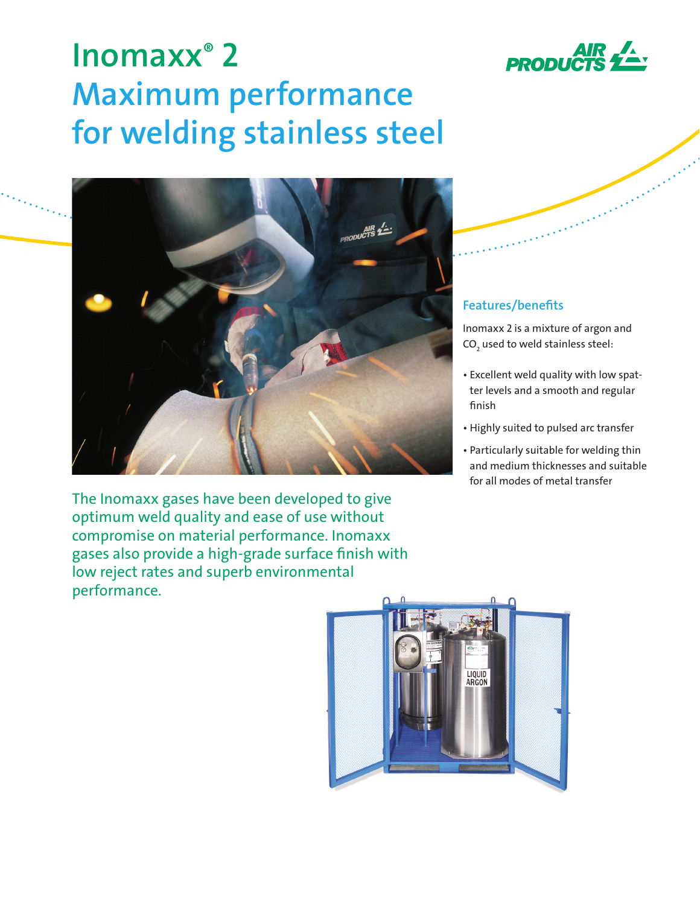

# **Inomaxx® 2 Maximum performance for welding stainless steel**



The Inomaxx gases have been developed to give optimum weld quality and ease of use without compromise on material performance. Inomaxx gases also provide a high-grade surface finish with low reject rates and superb environmental performance.

# **Features/benefits**

Inomaxx 2 is a mixture of argon and CO $_{_{2}}$  used to weld stainless steel:

- Excellent weld quality with low spatter levels and a smooth and regular finish
- Highly suited to pulsed arc transfer
- Particularly suitable for welding thin and medium thicknesses and suitable for all modes of metal transfer